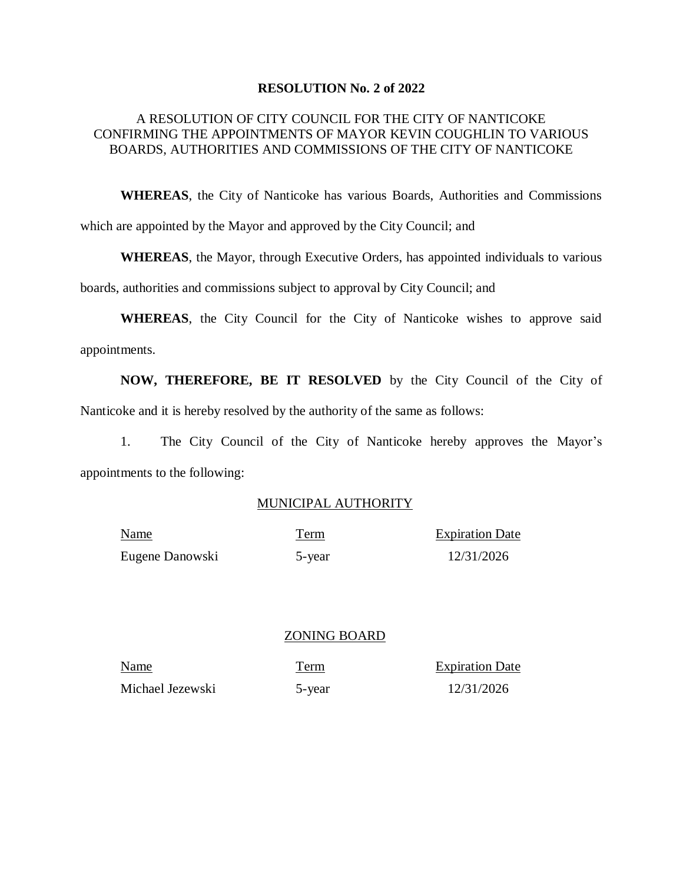#### **RESOLUTION No. 2 of 2022**

#### A RESOLUTION OF CITY COUNCIL FOR THE CITY OF NANTICOKE CONFIRMING THE APPOINTMENTS OF MAYOR KEVIN COUGHLIN TO VARIOUS BOARDS, AUTHORITIES AND COMMISSIONS OF THE CITY OF NANTICOKE

**WHEREAS**, the City of Nanticoke has various Boards, Authorities and Commissions which are appointed by the Mayor and approved by the City Council; and

**WHEREAS**, the Mayor, through Executive Orders, has appointed individuals to various

boards, authorities and commissions subject to approval by City Council; and

**WHEREAS**, the City Council for the City of Nanticoke wishes to approve said appointments.

**NOW, THEREFORE, BE IT RESOLVED** by the City Council of the City of Nanticoke and it is hereby resolved by the authority of the same as follows:

1. The City Council of the City of Nanticoke hereby approves the Mayor's appointments to the following:

#### MUNICIPAL AUTHORITY

| Name            | Term   | <b>Expiration Date</b> |
|-----------------|--------|------------------------|
| Eugene Danowski | 5-year | 12/31/2026             |

#### ZONING BOARD

Name Term Expiration Date Michael Jezewski 5-year 12/31/2026